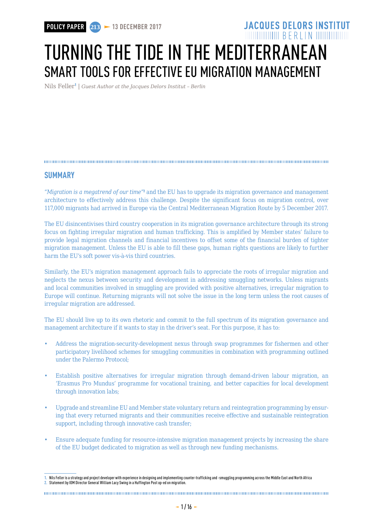# **MUNIMURIE BERIIN MUNIMI** TURNING THE TIDE IN THE MEDITERRANEAN SMART TOOLS FOR EFFECTIVE EU MIGRATION MANAGEMENT

**JACQUES DELORS INSTITUT** 

Nils Feller<sup>1</sup> | *Guest Author at the Jacques Delors Institut - Berlin* 

### **SUMMARY**

"Migration is a megatrend of our time"<sup>2</sup> and the EU has to upgrade its migration governance and management architecture to effectively address this challenge. Despite the significant focus on migration control, over 117,000 migrants had arrived in Europe via the Central Mediterranean Migration Route by 5 December 2017.

The EU disincentivises third country cooperation in its migration governance architecture through its strong focus on fighting irregular migration and human trafficking. This is amplified by Member states' failure to provide legal migration channels and financial incentives to offset some of the financial burden of tighter migration management. Unless the EU is able to fill these gaps, human rights questions are likely to further harm the EU's soft power vis-à-vis third countries.

Similarly, the EU's migration management approach fails to appreciate the roots of irregular migration and neglects the nexus between security and development in addressing smuggling networks. Unless migrants and local communities involved in smuggling are provided with positive alternatives, irregular migration to Europe will continue. Returning migrants will not solve the issue in the long term unless the root causes of irregular migration are addressed.

The EU should live up to its own rhetoric and commit to the full spectrum of its migration governance and management architecture if it wants to stay in the driver's seat. For this purpose, it has to:

- Address the migration-security-development nexus through swap programmes for fishermen and other participatory livelihood schemes for smuggling communities in combination with programming outlined under the Palermo Protocol;
- Establish positive alternatives for irregular migration through demand-driven labour migration, an 'Erasmus Pro Mundus' programme for vocational training, and better capacities for local development through innovation labs;
- Upgrade and streamline EU and Member state voluntary return and reintegration programming by ensuring that every returned migrants and their communities receive effective and sustainable reintegration support, including through innovative cash transfer:
- Ensure adequate funding for resource-intensive migration management projects by increasing the share of the EU budget dedicated to migration as well as through new funding mechanisms.

The continuum communication continuum continuum communication communication communication communication communication

**<sup>1.</sup>** Nils Feller is a strategy and project developer with experience in designing and implementing counter-trafficking and -smuggling programming across the Middle East and North Africa **2.** Statement by IOM Director General William Lacy Swing in a Huffington Post op-ed on migration.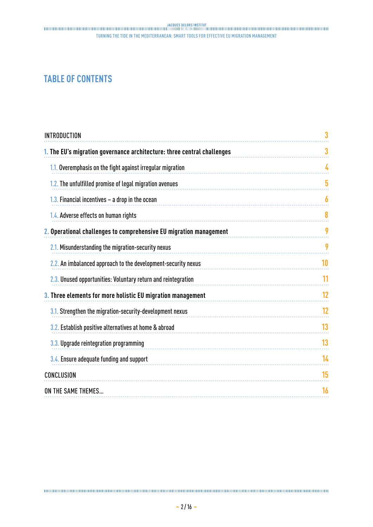# **TABLE OF CONTENTS**

| <b>INTRODUCTION</b>                                                     |    |
|-------------------------------------------------------------------------|----|
| 1. The EU's migration governance architecture: three central challenges | 3  |
| 1.1. Overemphasis on the fight against irregular migration              | 4  |
| 1.2. The unfulfilled promise of legal migration avenues                 | 5  |
| 1.3. Financial incentives $-$ a drop in the ocean                       | 6  |
| 1.4. Adverse effects on human rights                                    | 8  |
| 2. Operational challenges to comprehensive EU migration management      | 9  |
| 2.1. Misunderstanding the migration-security nexus                      | 9  |
| 2.2. An imbalanced approach to the development-security nexus           | 10 |
| 2.3. Unused opportunities: Voluntary return and reintegration           | 11 |
| 3. Three elements for more holistic EU migration management             | 12 |
| 3.1. Strengthen the migration-security-development nexus                | 12 |
| 3.2. Establish positive alternatives at home & abroad                   | 13 |
| 3.3. Upgrade reintegration programming                                  | 13 |
| 3.4. Ensure adequate funding and support                                | 14 |
| CONCLUSION                                                              | 15 |
| ON THE SAME THEMES                                                      | 16 |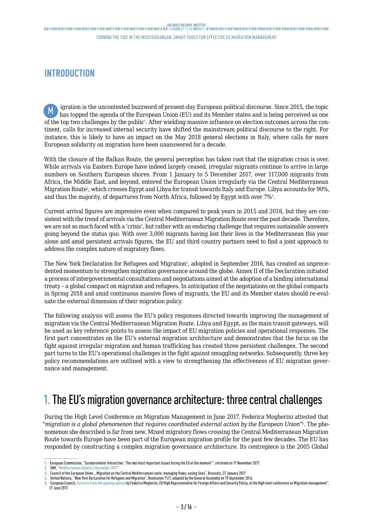Turning the tide in the Mediterranean: smart tools for effective EU migration management

# <span id="page-2-0"></span>**INTRODUCTION**

igration is the uncontested buzzword of present-day European political discourse. Since 2015, the topic M ligration is the uncontested buzzword of present-day European political discourse. Since 2015, the topic<br>has topped the agenda of the European Union (EU) and its Member states and is being perceived as one of the top two challenges by the public<sup>1</sup>. After wielding massive influence on election outcomes across the continent, calls for increased internal security have shifted the mainstream political discourse to the right. For instance, this is likely to have an impact on the May 2018 general elections in Italy, where calls for more European solidarity on migration have been unanswered for a decade.

With the closure of the Balkan Route, the general perception has taken root that the migration crisis is over. While arrivals via Eastern Europe have indeed largely ceased, irregular migrants continue to arrive in large numbers on Southern European shores. From 1 January to 5 December 2017, over 117,000 migrants from Africa, the Middle East, and beyond, entered the European Union irregularly via the Central Mediterranean Migration Route<sup>2</sup>, which crosses Egypt and Libya for transit towards Italy and Europe. Libya accounts for 90%, and thus the majority, of departures from North Africa, followed by Egypt with over  $7\%$ .

Current arrival figures are impressive even when compared to peak years in 2015 and 2016, but they are consistent with the trend of arrivals via the Central Mediterranean Migration Route over the past decade. Therefore, we are not so much faced with a 'crisis', but rather with an enduring challenge that requires sustainable answers going beyond the status quo. With over 3,000 migrants having lost their lives in the Mediterranean this year alone and amid persistent arrivals figures, the EU and third country partners need to find a joint approach to address the complex nature of migratory flows.

The New York Declaration for Refugees and Migration4, adopted in September 2016, has created an unprecedented momentum to strengthen migration governance around the globe. Annex II of the Declaration initiated a process of intergovernmental consultations and negotiations aimed at the adoption of a binding international treaty – a global compact on migration and refugees. In anticipation of the negotiations on the global compacts in Spring 2018 and amid continuous massive flows of migrants, the EU and its Member states should re-evaluate the external dimension of their migration policy.

The following analysis will assess the EU's policy responses directed towards improving the management of migration via the Central Mediterranean Migration Route. Libya and Egypt, as the main transit gateways, will be used as key reference points to assess the impact of EU migration policies and operational responses. The first part concentrates on the EU's external migration architecture and demonstrates that the focus on the fight against irregular migration and human trafficking has created three persistent challenges. The second part turns to the EU's operational challenges in the fight against smuggling networks. Subsequently, three key policy recommendations are outlined with a view to strengthening the effectiveness of EU migration governance and management.

# 1. The EU's migration governance architecture: three central challenges

During the High Level Conference on Migration Management in June 2017, Federica Mogherini attested that "*migration is a global phenomenon that requires coordinated external action by the European Union*"<sup>5</sup> . The phenomenon she described is far from new. Mixed migratory flows crossing the Central Mediterranean Migration Route towards Europe have been part of the European migration profile for the past few decades. The EU has responded by constructing a complex migration governance architecture. Its centrepiece is the 2005 Global

**<sup>1.</sup>** European Commission, "Eurobarometer Interactive: 'The two most important issues facing the EU at the moment'", retrieved on 17 November 2017.

**<sup>2.</sup>** IOM, "[Mediterranean Update 5 December 2017](https://missingmigrants.iom.int/mediterranean-update-5-december-2017)".

**<sup>3.</sup>** Council of the European Union, "Migration on the Central Mediterranean route: managing flows, saving lives", Brussels, 27 January 2017

**<sup>4.</sup>** United Nations, "New York Declaration for Refugees and Migration", Resolution 71/1, adopted by the General Assembly on 19 September 2016.

**<sup>5.</sup>** European Council, [Extracts from the opening speech](https://tvnewsroom.consilium.europa.eu/permalink/96912) by Federica Mogherini, EU High Representative for Foreign Affairs and Security Policy, at the High level conference on Migration management", 21 June 2017.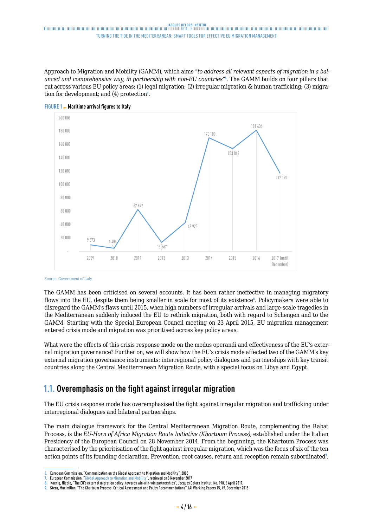<span id="page-3-0"></span>Approach to Migration and Mobility (GAMM), which aims "*to address all relevant aspects of migration in a balanced and comprehensive way, in partnership with non-EU countries*"<sup>6</sup> . The GAMM builds on four pillars that cut across various EU policy areas: (1) legal migration; (2) irregular migration & human trafficking; (3) migration for development; and (4) protection<sup>7</sup>.





The GAMM has been criticised on several accounts. It has been rather ineffective in managing migratory flows into the EU, despite them being smaller in scale for most of its existence<sup>®</sup>. Policymakers were able to disregard the GAMM's flaws until 2015, when high numbers of irregular arrivals and large-scale tragedies in the Mediterranean suddenly induced the EU to rethink migration, both with regard to Schengen and to the GAMM. Starting with the Special European Council meeting on 23 April 2015, EU migration management entered crisis mode and migration was prioritised across key policy areas.

What were the effects of this crisis response mode on the modus operandi and effectiveness of the EU's external migration governance? Further on, we will show how the EU's crisis mode affected two of the GAMM's key external migration governance instruments: interregional policy dialogues and partnerships with key transit countries along the Central Mediterranean Migration Route, with a special focus on Libya and Egypt.

# **1.1. Overemphasis on the fight against irregular migration**

The EU crisis response mode has overemphasised the fight against irregular migration and trafficking under interregional dialogues and bilateral partnerships.

The main dialogue framework for the Central Mediterranean Migration Route, complementing the Rabat Process, is the *EU-Horn of Africa Migration Route Initiative (Khartoum Process)*, established under the Italian Presidency of the European Council on 28 November 2014. From the beginning, the Khartoum Process was characterised by the prioritisation of the fight against irregular migration, which was the focus of six of the ten action points of its founding declaration. Prevention, root causes, return and reception remain subordinated<sup>9</sup>.

Source: Government of Italy

**<sup>6.</sup>** European Commission, "Communication on the Global Approach to Migration and Mobility", 2005

**<sup>7.</sup>** European Commission, "[Global Approach to Migration and Mobility](https://ec.europa.eu/home-affairs/what-we-do/policies/international-affairs/global-approach-to-migration_en)", retrieved on 8 November 2017

**<sup>8.</sup>** Koenig, Nicole, "The EU's external migration policy: towards win-win-win partnerships", Jacques Delors Institut, No. 190, 6 April 2017.

**<sup>9.</sup>** Stern, Maximilian, "The Khartoum Process: Critical Assessment and Policy Recommendations", IAI Working Papers 15, 49, December 2015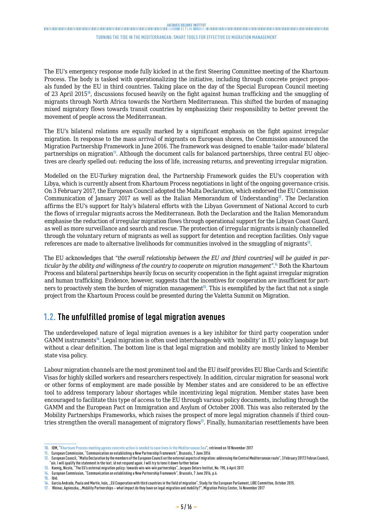#### Turning the tide in the Mediterranean: smart tools for effective EU migration management

<span id="page-4-0"></span>The EU's emergency response mode fully kicked in at the first Steering Committee meeting of the Khartoum Process. The body is tasked with operationalizing the initiative, including through concrete project proposals funded by the EU in third countries. Taking place on the day of the Special European Council meeting of 23 April 2015<sup>10</sup>, discussions focused heavily on the fight against human trafficking and the smuggling of migrants through North Africa towards the Northern Mediterranean. This shifted the burden of managing mixed migratory flows towards transit countries by emphasizing their responsibility to better prevent the movement of people across the Mediterranean.

The EU's bilateral relations are equally marked by a significant emphasis on the fight against irregular migration. In response to the mass arrival of migrants on European shores, the Commission announced the Migration Partnership Framework in June 2016. The framework was designed to enable 'tailor-made' bilateral partnerships on migration<sup>11</sup>. Although the document calls for balanced partnerships, three central EU objectives are clearly spelled out: reducing the loss of life, increasing returns, and preventing irregular migration.

Modelled on the EU-Turkey migration deal, the Partnership Framework guides the EU's cooperation with Libya, which is currently absent from Khartoum Process negotiations in light of the ongoing governance crisis. On 3 February 2017, the European Council adopted the Malta Declaration, which endorsed the EU Commission Communication of January 2017 as well as the Italian Memorandum of Understanding<sup>12</sup>. The Declaration affirms the EU's support for Italy's bilateral efforts with the Libyan Government of National Accord to curb the flows of irregular migrants across the Mediterranean. Both the Declaration and the Italian Memorandum emphasise the reduction of irregular migration flows through operational support for the Libyan Coast Guard, as well as more surveillance and search and rescue. The protection of irregular migrants is mainly channelled through the voluntary return of migrants as well as support for detention and reception facilities. Only vague references are made to alternative livelihoods for communities involved in the smuggling of migrants<sup>13</sup>.

The EU acknowledges that "*the overall relationship between the EU and [third countries] will be guided in particular by the ability and willingness of the country to cooperate on migration management*".<sup>14</sup> Both the Khartoum Process and bilateral partnerships heavily focus on security cooperation in the fight against irregular migration and human trafficking. Evidence, however, suggests that the incentives for cooperation are insufficient for partners to proactively stem the burden of migration management<sup>15</sup>. This is exemplified by the fact that not a single project from the Khartoum Process could be presented during the Valetta Summit on Migration.

### **1.2. The unfulfilled promise of legal migration avenues**

The underdeveloped nature of legal migration avenues is a key inhibitor for third party cooperation under GAMM instruments<sup>16</sup>. Legal migration is often used interchangeably with 'mobility' in EU policy language but without a clear definition. The bottom line is that legal migration and mobility are mostly linked to Member state visa policy.

Labour migration channels are the most prominent tool and the EU itself provides EU Blue Cards and Scientific Visas for highly skilled workers and researchers respectively. In addition, circular migration for seasonal work or other forms of employment are made possible by Member states and are considered to be an effective tool to address temporary labour shortages while incentivizing legal migration. Member states have been encouraged to facilitate this type of access to the EU through various policy documents, including through the GAMM and the European Pact on Immigration and Asylum of October 2008. This was also reiterated by the Mobility Partnerships Frameworks, which raises the prospect of more legal migration channels if third countries strengthen the overall management of migratory flows<sup>17</sup>. Finally, humanitarian resettlements have been

**<sup>10.</sup>** IOM, "[Khartoum Process meeting agrees concrete action is needed to save lives in the Mediterranean Sea"](https://www.iom.int/news/khartoum-process-meeting-agrees-concrete-action-needed-save-lives-mediterranean-sea ), retrieved on 10 November 2017

**<sup>11.</sup>** European Commission, "Communication on establishing a New Partnership Framework", Brussels, 7 June 2016

**<sup>12.</sup>** European Council, "Malta Declaration by the members of the European Council on the external aspects of migration: addressing the Central Mediterranean route", 3 February 20172 Febran Council, "ain. I will qualify the statement in the text. id not respond again. I will try to tone it down further below

**<sup>13.</sup>** Koenig, Nicole, "The EU's external migration policy: towards win-win-win partnerships", Jacques Delors Institut, No. 190, 6 April 2017.

**<sup>14.</sup>** European Commission, "Communication on establishing a New Partnership Framework", Brussels, 7 June 2016, p.6.

**<sup>15.</sup>** Ibid.

García Andrade, Paula and Martín, Iván, "EU Cooperation with third countries in the field of migration", Study for the European Parliament, LIBE Committee, October 2015.

**<sup>17.</sup>** Weinar, Agnieszka, "Mobility Partnerships – what impact do they have on legal migration and mobility?", Migration Policy Center, 16 November 2017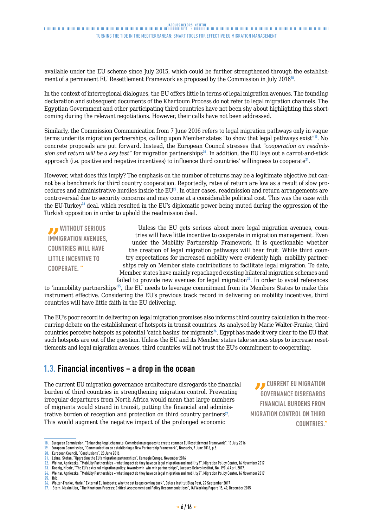### <span id="page-5-0"></span>.<br>Thuninghanga and the manufacture and the contract and the contract and the contract and the contract and the contract and the contract and the contract and the contract and the contract and the contract and the contract Turning the tide in the Mediterranean: smart tools for effective EU migration management

available under the EU scheme since July 2015, which could be further strengthened through the establishment of a permanent EU Resettlement Framework as proposed by the Commission in July 2016<sup>18</sup>.

In the context of interregional dialogues, the EU offers little in terms of legal migration avenues. The founding declaration and subsequent documents of the Khartoum Process do not refer to legal migration channels. The Egyptian Government and other participating third countries have not been shy about highlighting this shortcoming during the relevant negotiations. However, their calls have not been addressed.

Similarly, the Commission Communication from 7 June 2016 refers to legal migration pathways only in vague terms under its migration partnerships, calling upon Member states "to show that legal pathways exist"<sup>19</sup>. No concrete proposals are put forward. Instead, the European Council stresses that "*cooperation on readmis*sion and return will be a key test" for migration partnerships<sup>20</sup>. In addition, the EU lays out a carrot-and-stick approach (i.e. positive and negative incentives) to influence third countries' willingness to cooperate<sup>21</sup>.

However, what does this imply? The emphasis on the number of returns may be a legitimate objective but cannot be a benchmark for third country cooperation. Reportedly, rates of return are low as a result of slow procedures and administrative hurdles inside the EU<sup>22</sup>. In other cases, readmission and return arrangements are controversial due to security concerns and may come at a considerable political cost. This was the case with the EU-Turkey<sup>23</sup> deal, which resulted in the EU's diplomatic power being muted during the oppression of the Turkish opposition in order to uphold the readmission deal.

*B* WITHOUT SERIOUS **IMMIGRATION AVENUES, COUNTRIES WILL HAVE LITTLE INCENTIVE TO COOPERATE. "**

Unless the EU gets serious about more legal migration avenues, countries will have little incentive to cooperate in migration management. Even under the Mobility Partnership Framework, it is questionable whether the creation of legal migration pathways will bear fruit. While third country expectations for increased mobility were evidently high, mobility partnerships rely on Member state contributions to facilitate legal migration. To date, Member states have mainly repackaged existing bilateral migration schemes and failed to provide new avenues for legal migration $24$ . In order to avoid references

to 'immobility partnerships'<sup>25</sup>, the EU needs to leverage commitment from its Members States to make this instrument effective. Considering the EU's previous track record in delivering on mobility incentives, third countries will have little faith in the EU delivering.

The EU's poor record in delivering on legal migration promises also informs third country calculation in the reoccurring debate on the establishment of hotspots in transit countries. As analysed by Marie Walter-Franke, third countries perceive hotspots as potential 'catch basins' for migrants<sup>26</sup>. Egypt has made it very clear to the EU that such hotspots are out of the question. Unless the EU and its Member states take serious steps to increase resettlements and legal migration avenues, third countries will not trust the EU's commitment to cooperating.

### **1.3. Financial incentives – a drop in the ocean**

The current EU migration governance architecture disregards the financial burden of third countries in strengthening migration control. Preventing irregular departures from North Africa would mean that large numbers of migrants would strand in transit, putting the financial and administrative burden of reception and protection on third country partners $27$ . This would augment the negative impact of the prolonged economic

*B* CURRENT EU MIGRATION **GOVERNANCE DISREGARDS FINANCIAL BURDENS FROM MIGRATION CONTROL ON THIRD COUNTRIES."**

**<sup>18.</sup>** European Commission, "Enhancing legal channels: Commission proposes to create common EU Resettlement Framework", 13 July 2016

**<sup>19.</sup>** European Commission, "Communication on establishing a New Partnership Framework", Brussels, 7 June 2016, p.5.

**<sup>20.</sup>** European Council, "Conclusions", 28 June 2016.

**<sup>21.</sup>** Lehne, Stefan, "Upgrading the EU's migration partnerships", Carnegie Europe, November 2016

**<sup>22.</sup>** Weinar, Agnieszka, "Mobility Partnerships – what impact do they have on legal migration and mobility?", Migration Policy Center, 16 November 2017

**<sup>23.</sup>** Koenig, Nicole, "The EU's external migration policy: towards win-win-win partnerships", Jacques Delors Institut, No. 190, 6 April 2017. **24.** Weinar, Agnieszka, "Mobility Partnerships – what impact do they have on legal migration and mobility?", Migration Policy Center, 16 November 2017

**<sup>25.</sup>** Ibid.

**<sup>26.</sup>** Walter-Franke, Marie," External EU hotspots: why the cat keeps coming back", Delors Institut Blog Post, 29 September 2017

**<sup>27.</sup>** Stern, Maximilian, "The Khartoum Process: Critical Assessment and Policy Recommendations", IAI Working Papers 15, 49, December 2015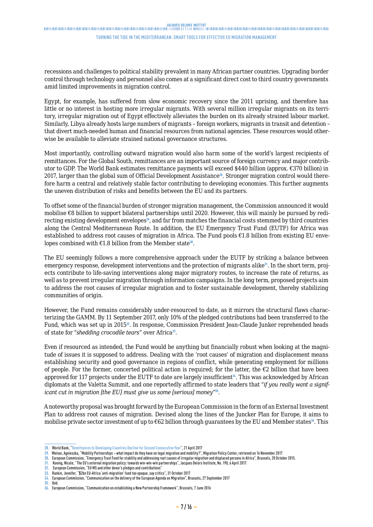#### Turning the tide in the Mediterranean: smart tools for effective EU migration management

recessions and challenges to political stability prevalent in many African partner countries. Upgrading border control through technology and personnel also comes at a significant direct cost to third country governments amid limited improvements in migration control.

Egypt, for example, has suffered from slow economic recovery since the 2011 uprising, and therefore has little or no interest in hosting more irregular migrants. With several million irregular migrants on its territory, irregular migration out of Egypt effectively alleviates the burden on its already strained labour market. Similarly, Libya already hosts large numbers of migrants – foreign workers, migrants in transit and detention – that divert much-needed human and financial resources from national agencies. These resources would otherwise be available to alleviate strained national governance structures.

Most importantly, controlling outward migration would also harm some of the world's largest recipients of remittances. For the Global South, remittances are an important source of foreign currency and major contributor to GDP. The World Bank estimates remittance payments will exceed \$440 billion (approx. €370 billion) in 2017, larger than the global sum of Official Development Assistance28. Stronger migration control would therefore harm a central and relatively stable factor contributing to developing economies. This further augments the uneven distribution of risks and benefits between the EU and its partners.

To offset some of the financial burden of stronger migration management, the Commission announced it would mobilise €8 billion to support bilateral partnerships until 2020. However, this will mainly be pursued by redirecting existing development envelopes<sup>29</sup>, and far from matches the financial costs stemmed by third countries along the Central Mediterranean Route. In addition, the EU Emergency Trust Fund (EUTF) for Africa was established to address root causes of migration in Africa. The Fund pools €1.8 billion from existing EU envelopes combined with  $£1.8$  billion from the Member state<sup>30</sup>.

The EU seemingly follows a more comprehensive approach under the EUTF by striking a balance between emergency response, development interventions and the protection of migrants alike<sup>31</sup>. In the short term, projects contribute to life-saving interventions along major migratory routes, to increase the rate of returns, as well as to prevent irregular migration through information campaigns. In the long term, proposed projects aim to address the root causes of irregular migration and to foster sustainable development, thereby stabilizing communities of origin.

However, the Fund remains considerably under-resourced to date, as it mirrors the structural flaws characterizing the GAMM. By 11 September 2017, only 10% of the pledged contributions had been transferred to the Fund, which was set up in 2015<sup>2</sup>. In response, Commission President Jean-Claude Junker reprehended heads of state for "*shedding crocodile tears*" over Africa<sup>33</sup>.

Even if resourced as intended, the Fund would be anything but financially robust when looking at the magnitude of issues it is supposed to address. Dealing with the 'root causes' of migration and displacement means establishing security and good governance in regions of conflict, while generating employment for millions of people. For the former, concerted political action is required; for the latter, the  $\epsilon$ 2 billion that have been approved for 117 projects under the EUTF to date are largely insufficient<sup>34</sup>. This was acknowledged by African diplomats at the Valetta Summit, and one reportedly affirmed to state leaders that "*if you really want a significant cut in migration [the EU] must give us some [serious] money*"<sup>35</sup>.

A noteworthy proposal was brought forward by the European Commission in the form of an External Investment Plan to address root causes of migration. Devised along the lines of the Juncker Plan for Europe, it aims to mobilise private sector investment of up to €62 billion through guarantees by the EU and Member states<sup>36</sup>. This

**<sup>28.</sup>** World Bank, ["Remittances to Developing Countries Decline for Second Consecutive Year](http://www.worldbank.org/en/news/press-release/2017/04/21/remittances-to-developing-countries-decline-for-second-consecutive-year)", 21 April 2017

**<sup>29.</sup>** Weinar, Agnieszka, "Mobility Partnerships – what impact do they have on legal migration and mobility?", Migration Policy Center, retrieved on 16 November 2017

**<sup>30.</sup>** European Commission, "Emergency Trust Fund for stability and addressing root causes of irregular migration and displaced persons in Africa", Brussels, 20 October 2015.

**<sup>31.</sup>** Koenig, Nicole, "The EU's external migration policy: towards win-win-win partnerships", Jacques Delors Institute, No. 190, 6 April 2017.

**<sup>32.</sup>** European Commission, "EU MS and other donor's pledges and contributions"

**<sup>33.</sup>** Rankin, Jennifer, "\$2bn EU-Africa 'anti-migration' fund too opaque, say critics", 31 October 2017

**<sup>34.</sup>** European Commission, "Communication on the delivery of the European Agenda on Migration", Brussels, 27 September 2017

**<sup>35.</sup>** Ibid.

**<sup>36.</sup>** European Commission, "Communication on establishing a New Partnership Framework", Brussels, 7 June 2016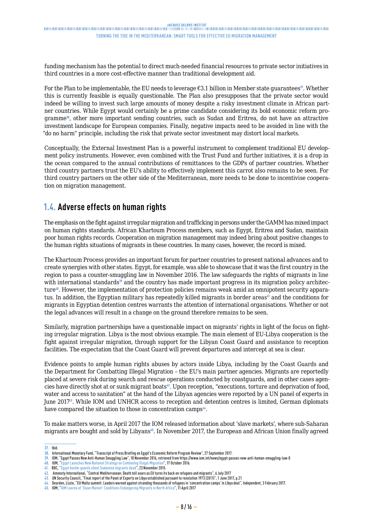<span id="page-7-0"></span>funding mechanism has the potential to direct much-needed financial resources to private sector initiatives in third countries in a more cost-effective manner than traditional development aid.

For the Plan to be implementable, the EU needs to leverage  $\epsilon$ 3.1 billion in Member state guarantees<sup>37</sup>. Whether this is currently feasible is equally questionable. The Plan also presupposes that the private sector would indeed be willing to invest such large amounts of money despite a risky investment climate in African partner countries. While Egypt would certainly be a prime candidate considering its bold economic reform programme<sup>38</sup>, other more important sending countries, such as Sudan and Eritrea, do not have an attractive investment landscape for European companies. Finally, negative impacts need to be avoided in line with the "do no harm" principle, including the risk that private sector investment may distort local markets.

Conceptually, the External Investment Plan is a powerful instrument to complement traditional EU development policy instruments. However, even combined with the Trust Fund and further initiatives, it is a drop in the ocean compared to the annual contributions of remittances to the GDPs of partner countries. Whether third country partners trust the EU's ability to effectively implement this carrot also remains to be seen. For third country partners on the other side of the Mediterranean, more needs to be done to incentivise cooperation on migration management.

# **1.4. Adverse effects on human rights**

The emphasis on the fight against irregular migration and trafficking in persons under the GAMM has mixed impact on human rights standards. African Khartoum Process members, such as Egypt, Eritrea and Sudan, maintain poor human rights records. Cooperation on migration management may indeed bring about positive changes to the human rights situations of migrants in these countries. In many cases, however, the record is mixed.

The Khartoum Process provides an important forum for partner countries to present national advances and to create synergies with other states. Egypt, for example, was able to showcase that it was the first country in the region to pass a counter-smuggling law in November 2016. The law safeguards the rights of migrants in line with international standards<sup>39</sup> and the country has made important progress in its migration policy architecture<sup>40</sup>. However, the implementation of protection policies remains weak amid an omnipotent security apparatus. In addition, the Egyptian military has repeatedly killed migrants in border areas<sup>41</sup> and the conditions for migrants in Egyptian detention centres warrants the attention of international organisations. Whether or not the legal advances will result in a change on the ground therefore remains to be seen.

Similarly, migration partnerships have a questionable impact on migrants' rights in light of the focus on fighting irregular migration. Libya is the most obvious example. The main element of EU-Libya cooperation is the fight against irregular migration, through support for the Libyan Coast Guard and assistance to reception facilities. The expectation that the Coast Guard will prevent departures and intercept at sea is clear.

Evidence points to ample human rights abuses by actors inside Libya, including by the Coast Guards and the Department for Combatting Illegal Migration – the EU's main partner agencies. Migrants are reportedly placed at severe risk during search and rescue operations conducted by coastguards, and in other cases agencies have directly shot at or sunk migrant boats<sup>42</sup>. Upon reception, "executions, torture and deprivation of food, water and access to sanitation" at the hand of the Libyan agencies were reported by a UN panel of experts in June 2017<sup>43</sup>. While IOM and UNHCR access to reception and detention centres is limited, German diplomats have compared the situation to those in concentration camps<sup>44</sup>.

To make matters worse, in April 2017 the IOM released information about 'slave markets', where sub-Saharan migrants are bought and sold by Libyans<sup>45</sup>. In November 2017, the European and African Union finally agreed

**<sup>37.</sup>** Ibid.

**<sup>38.</sup>** International Monetary Fund, "Transcript of Press Briefing on Egypt's Economic Reform Program Review", 27 September 2017.

<sup>39.</sup> IOM, "Egypt Passes New Anti-Human Smuggling Law", 18 November 2016, retrieved from <https://www.iom.int/news/egypt-passes-new-anti-human-smuggling-law-0><br>40. IOM, "Egypt Launches New National Strategy on Combating Il

**<sup>41.</sup>** BBC, ["Egypt border guards shoot Sudanese migrants dead](http://www.bbc.com/news/world-middle-east-34902834)", 23 November 2015.

**<sup>42.</sup>** Amnesty International, "Central Mediterranean: Death toll soars as EU turns its back on refugees and migrants", 6 July 2017 **43.** UN Security Council, "Final report of the Panel of Experts on Libya established pursuant to resolution 1973 (2011)", 1 June 2017, p.21

**<sup>44.</sup>** Dearden, Lizzie, "EU Malta summit: Leaders warned against stranding thousands of refugees in 'concentration camps' in Libya deal", Independent, 3 February 2017.

**<sup>45.</sup>** IOM, ["IOM Learns of 'Slave Market' Conditions Endangering Migrants in North Africa](https://www.iom.int/news/iom-learns-slave-market-conditions-endangering-migrants-north-africa)", 11 April 2017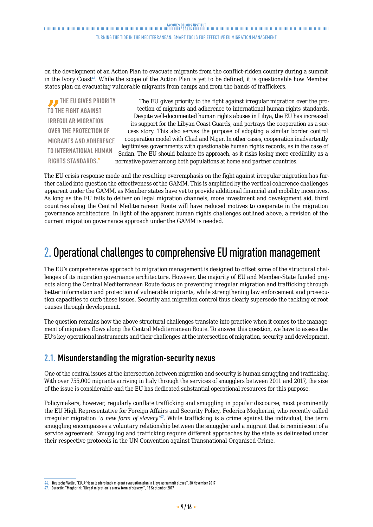#### Turning the tide in the Mediterranean: smart tools for effective EU migration management

<span id="page-8-0"></span>on the development of an Action Plan to evacuate migrants from the conflict-ridden country during a summit in the Ivory Coast<sup>46</sup>. While the scope of the Action Plan is yet to be defined, it is questionable how Member states plan on evacuating vulnerable migrants from camps and from the hands of traffickers.

**THE EU GIVES PRIORITY TO THE FIGHT AGAINST IRREGULAR MIGRATION OVER THE PROTECTION OF MIGRANTS AND ADHERENCE TO INTERNATIONAL HUMAN RIGHTS STANDARDS."**

The EU gives priority to the fight against irregular migration over the protection of migrants and adherence to international human rights standards. Despite well-documented human rights abuses in Libya, the EU has increased its support for the Libyan Coast Guards, and portrays the cooperation as a success story. This also serves the purpose of adopting a similar border control cooperation model with Chad and Niger. In other cases, cooperation inadvertently legitimises governments with questionable human rights records, as in the case of Sudan. The EU should balance its approach, as it risks losing more credibility as a normative power among both populations at home and partner countries.

The EU crisis response mode and the resulting overemphasis on the fight against irregular migration has further called into question the effectiveness of the GAMM. This is amplified by the vertical coherence challenges apparent under the GAMM, as Member states have yet to provide additional financial and mobility incentives. As long as the EU fails to deliver on legal migration channels, more investment and development aid, third countries along the Central Mediterranean Route will have reduced motives to cooperate in the migration governance architecture. In light of the apparent human rights challenges outlined above, a revision of the current migration governance approach under the GAMM is needed.

# 2. Operational challenges to comprehensive EU migration management

The EU's comprehensive approach to migration management is designed to offset some of the structural challenges of its migration governance architecture. However, the majority of EU and Member-State funded projects along the Central Mediterranean Route focus on preventing irregular migration and trafficking through better information and protection of vulnerable migrants, while strengthening law enforcement and prosecution capacities to curb these issues. Security and migration control thus clearly supersede the tackling of root causes through development.

The question remains how the above structural challenges translate into practice when it comes to the management of migratory flows along the Central Mediterranean Route. To answer this question, we have to assess the EU's key operational instruments and their challenges at the intersection of migration, security and development.

### **2.1. Misunderstanding the migration-security nexus**

One of the central issues at the intersection between migration and security is human smuggling and trafficking. With over 755,000 migrants arriving in Italy through the services of smugglers between 2011 and 2017, the size of the issue is considerable and the EU has dedicated substantial operational resources for this purpose.

Policymakers, however, regularly conflate trafficking and smuggling in popular discourse, most prominently the EU High Representative for Foreign Affairs and Security Policy, Federica Mogherini, who recently called irregular migration "*a new form of slavery*". While trafficking is a crime against the individual, the term smuggling encompasses a voluntary relationship between the smuggler and a migrant that is reminiscent of a service agreement. Smuggling and trafficking require different approaches by the state as delineated under their respective protocols in the UN Convention against Transnational Organised Crime.

**<sup>46.</sup>** Deutsche Welle, "EU, African leaders back migrant evacuation plan in Libya as summit closes", 30 November 2017

**<sup>47.</sup>** Euractiv, "Mogherini: 'Illegal migration is a new form of slavery'", 13 September 2017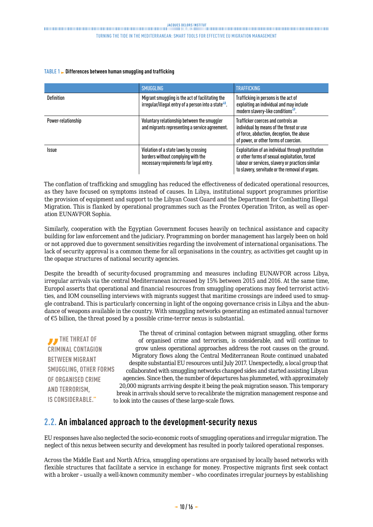#### <span id="page-9-0"></span>**TABLE 1 Differences between human smuggling and trafficking**

|                    | <b>SMUGGLING</b>                                                                                                       | <b>TRAFFICKING</b>                                                                                                                                                                                         |
|--------------------|------------------------------------------------------------------------------------------------------------------------|------------------------------------------------------------------------------------------------------------------------------------------------------------------------------------------------------------|
| <b>Definition</b>  | Migrant smuggling is the act of facilitating the<br>irregular/illegal entry of a person into a state <sup>48</sup> .   | Trafficking in persons is the act of<br>exploiting an individual and may include<br>modern slavery-like conditions <sup>49</sup> .                                                                         |
| Power-relationship | Voluntary relationship between the smuggler<br>and migrants representing a service agreement.                          | Trafficker coerces and controls an<br>individual by means of the threat or use<br>of force, abduction, deception, the abuse<br>of power, or other forms of coercion.                                       |
| <b>Issue</b>       | Violation of a state laws by crossing<br>borders without complying with the<br>necessary requirements for legal entry. | Exploitation of an individual through prostitution<br>or other forms of sexual exploitation, forced<br>labour or services, slavery or practices similar<br>to slavery, servitude or the removal of organs. |

The conflation of trafficking and smuggling has reduced the effectiveness of dedicated operational resources, as they have focused on symptoms instead of causes. In Libya, institutional support programmes prioritise the provision of equipment and support to the Libyan Coast Guard and the Department for Combatting Illegal Migration. This is flanked by operational programmes such as the Frontex Operation Triton, as well as operation EUNAVFOR Sophia.

Similarly, cooperation with the Egyptian Government focuses heavily on technical assistance and capacity building for law enforcement and the judiciary. Programming on border management has largely been on hold or not approved due to government sensitivities regarding the involvement of international organisations. The lack of security approval is a common theme for all organisations in the country, as activities get caught up in the opaque structures of national security agencies.

Despite the breadth of security-focused programming and measures including EUNAVFOR across Libya, irregular arrivals via the central Mediterranean increased by 15% between 2015 and 2016. At the same time, Europol asserts that operational and financial resources from smuggling operations may feed terrorist activities, and IOM counselling interviews with migrants suggest that maritime crossings are indeed used to smuggle contraband. This is particularly concerning in light of the ongoing governance crisis in Libya and the abundance of weapons available in the country. With smuggling networks generating an estimated annual turnover of €5 billion, the threat posed by a possible crime-terror nexus is substantial.

*B* THE THREAT OF **CRIMINAL CONTAGION BETWEEN MIGRANT SMUGGLING, OTHER FORMS OF ORGANISED CRIME AND TERRORISM, IS CONSIDERABLE."**

The threat of criminal contagion between migrant smuggling, other forms of organised crime and terrorism, is considerable, and will continue to grow unless operational approaches address the root causes on the ground. Migratory flows along the Central Mediterranean Route continued unabated despite substantial EU resources until July 2017. Unexpectedly, a local group that collaborated with smuggling networks changed sides and started assisting Libyan agencies. Since then, the number of departures has plummeted, with approximately 20,000 migrants arriving despite it being the peak migration season. This temporary break in arrivals should serve to recalibrate the migration management response and to look into the causes of these large-scale flows.

### **2.2. An imbalanced approach to the development-security nexus**

EU responses have also neglected the socio-economic roots of smuggling operations and irregular migration. The neglect of this nexus between security and development has resulted in poorly tailored operational responses.

Across the Middle East and North Africa, smuggling operations are organised by locally based networks with flexible structures that facilitate a service in exchange for money. Prospective migrants first seek contact with a broker – usually a well-known community member – who coordinates irregular journeys by establishing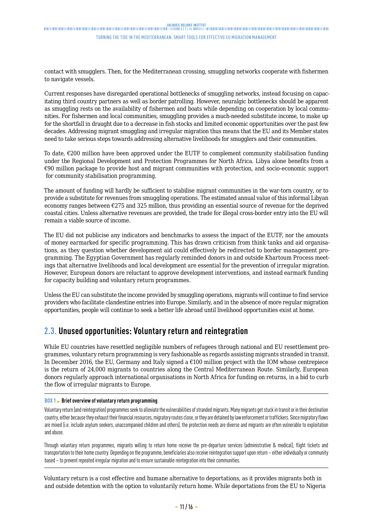# <span id="page-10-0"></span>JACOUES DELORS INSTITUT<br>Thinkinghandinghandinghandinghandinghandinghandinghanding and the property of the property of the section www.walinghandinghandinghandinghandinghandinghanding and the property of the section www.wal

#### Turning the tide in the Mediterranean: smart tools for effective EU migration management

contact with smugglers. Then, for the Mediterranean crossing, smuggling networks cooperate with fishermen to navigate vessels.

Current responses have disregarded operational bottlenecks of smuggling networks, instead focusing on capacitating third country partners as well as border patrolling. However, neuralgic bottlenecks should be apparent as smuggling rests on the availability of fishermen and boats while depending on cooperation by local communities. For fishermen and local communities, smuggling provides a much-needed substitute income, to make up for the shortfall in draught due to a decrease in fish stocks and limited economic opportunities over the past few decades. Addressing migrant smuggling and irregular migration thus means that the EU and its Member states need to take serious steps towards addressing alternative livelihoods for smugglers and their communities.

To date, €200 million have been approved under the EUTF to complement community stabilisation funding under the Regional Development and Protection Programmes for North Africa. Libya alone benefits from a €90 million package to provide host and migrant communities with protection, and socio-economic support for community stabilisation programming.

The amount of funding will hardly be sufficient to stabilise migrant communities in the war-torn country, or to provide a substitute for revenues from smuggling operations. The estimated annual value of this informal Libyan economy ranges between  $\epsilon$ 275 and 325 million, thus providing an essential source of revenue for the deprived coastal cities. Unless alternative revenues are provided, the trade for illegal cross-border entry into the EU will remain a viable source of income.

The EU did not publicise any indicators and benchmarks to assess the impact of the EUTF, nor the amounts of money earmarked for specific programming. This has drawn criticism from think tanks and aid organisations, as they question whether development aid could effectively be redirected to border management programming. The Egyptian Government has regularly reminded donors in and outside Khartoum Process meetings that alternative livelihoods and local development are essential for the prevention of irregular migration. However, European donors are reluctant to approve development interventions, and instead earmark funding for capacity building and voluntary return programmes.

Unless the EU can substitute the income provided by smuggling operations, migrants will continue to find service providers who facilitate clandestine entries into Europe. Similarly, and in the absence of more regular migration opportunities, people will continue to seek a better life abroad until livelihood opportunities exist at home.

## **2.3. Unused opportunities: Voluntary return and reintegration**

While EU countries have resettled negligible numbers of refugees through national and EU resettlement programmes, voluntary return programming is very fashionable as regards assisting migrants stranded in transit. In December 2016, the EU, Germany and Italy signed a  $€100$  million project with the IOM whose centrepiece is the return of 24,000 migrants to countries along the Central Mediterranean Route. Similarly, European donors regularly approach international organisations in North Africa for funding on returns, in a bid to curb the flow of irregular migrants to Europe.

#### **BOX 1** Brief overview of voluntary return programming

Voluntary return (and reintegration) programmes seek to alleviate the vulnerabilities of stranded migrants. Many migrants get stuck in transit or in their destination country, either because they exhaust their financial resources, migratory routes close, or they are detained by law enforcement or traffickers. Since migratory flows are mixed (i.e. include asylum seekers, unaccompanied children and others), the protection needs are diverse and migrants are often vulnerable to exploitation and abuse.

Through voluntary return programmes, migrants willing to return home receive the pre-departure services (administrative & medical), flight tickets and transportation to their home country. Depending on the programme, beneficiaries also receive reintegration support upon return – either individually or community based – to prevent repeated irregular migration and to ensure sustainable reintegration into their communities.

Voluntary return is a cost effective and humane alternative to deportations, as it provides migrants both in and outside detention with the option to voluntarily return home. While deportations from the EU to Nigeria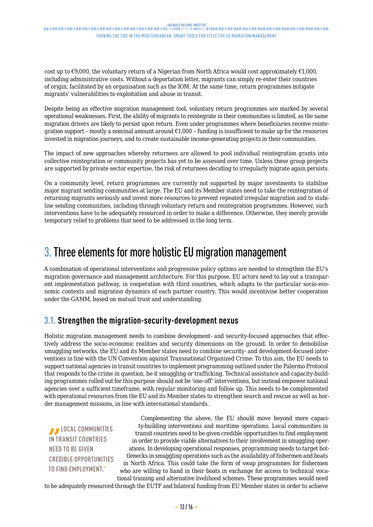### <span id="page-11-0"></span>JACOUES DELORS INSTITUT<br>- DILITERATION DILITERATION DILITERATION DILITERATION DILITERATION DILITERATION DILITERATION DILITERATION DILI Turning the tide in the Mediterranean: smart tools for effective EU migration management

cost up to  $\epsilon$ 9,000, the voluntary return of a Nigerian from North Africa would cost approximately  $\epsilon$ 1,000, including administrative costs. Without a deportation letter, migrants can simply re-enter their countries of origin, facilitated by an organisation such as the IOM. At the same time, return programmes mitigate migrants' vulnerabilities to exploitation and abuse in transit.

Despite being an effective migration management tool, voluntary return programmes are marked by several operational weaknesses. First, the ability of migrants to reintegrate in their communities is limited, as the same migration drivers are likely to persist upon return. Even under programmes where beneficiaries receive reintegration support – mostly a nominal amount around  $\epsilon$ 1,000 – funding is insufficient to make up for the resources invested in migration journeys, and to create sustainable income-generating projects in their communities.

The impact of new approaches whereby returnees are allowed to pool individual reintegration grants into collective reintegration or community projects has yet to be assessed over time. Unless these group projects are supported by private sector expertise, the risk of returnees deciding to irregularly migrate again persists.

On a community level, return programmes are currently not supported by major investments to stabilise major migrant sending communities at large. The EU and its Member states need to take the reintegration of returning migrants seriously and invest more resources to prevent repeated irregular migration and to stabilise sending communities, including through voluntary return and reintegration programmes. However, such interventions have to be adequately resourced in order to make a difference. Otherwise, they merely provide temporary relief to problems that need to be addressed in the long term.

# 3. Three elements for more holistic EU migration management

A combination of operational interventions and progressive policy options are needed to strengthen the EU's migration governance and management architecture. For this purpose, EU actors need to lay out a transparent implementation pathway, in cooperation with third countries, which adapts to the particular socio-economic contexts and migration dynamics of each partner country. This would incentivise better cooperation under the GAMM, based on mutual trust and understanding.

### **3.1. Strengthen the migration-security-development nexus**

Holistic migration management needs to combine development- and security-focused approaches that effectively address the socio-economic realities and security dimensions on the ground. In order to demobilise smuggling networks, the EU and its Member states need to combine security- and development-focused interventions in line with the UN Convention against Transnational Organized Crime. To this aim, the EU needs to support national agencies in transit countries to implement programming outlined under the Palermo Protocol that responds to the crime in question, be it smuggling or trafficking. Technical assistance and capacity-building programmes rolled out for this purpose should not be 'one-off' interventions, but instead empower national agencies over a sufficient timeframe, with regular monitoring and follow up. This needs to be complemented with operational resources from the EU and its Member states to strengthen search and rescue as well as border management missions, in line with international standards.

*B* LOCAL COMMUNITIES **IN TRANSIT COUNTRIES NEED TO BE GIVEN CREDIBLE OPPORTUNITIES TO FIND EMPLOYMENT."**

Complementing the above, the EU should move beyond mere capacity-building interventions and maritime operations. Local communities in transit countries need to be given credible opportunities to find employment in order to provide viable alternatives to their involvement in smuggling operations. In developing operational responses, programming needs to target bottlenecks in smuggling operations such as the availability of fishermen and boats in North Africa. This could take the form of swap programmes for fishermen who are willing to hand in their boats in exchange for access to technical vocational training and alternative livelihood schemes. These programmes would need

to be adequately resourced through the EUTF and bilateral funding from EU Member states in order to achieve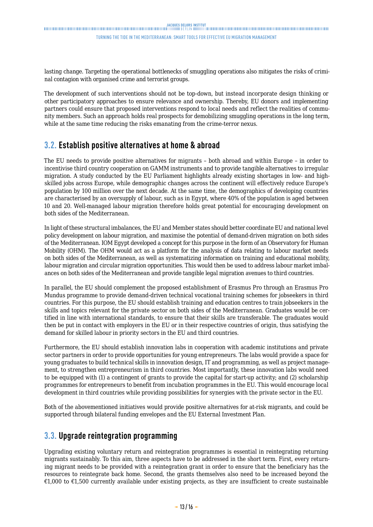# <span id="page-12-0"></span>JACOUES DELORS INSTITUT<br>Thinkinghandinghandinghandinghandinghandinghandinghanding and the property of the property of the section www.walinghandinghandinghandinghandinghandinghanding and the property of the section www.wal

#### Turning the tide in the Mediterranean: smart tools for effective EU migration management

lasting change. Targeting the operational bottlenecks of smuggling operations also mitigates the risks of criminal contagion with organised crime and terrorist groups.

The development of such interventions should not be top-down, but instead incorporate design thinking or other participatory approaches to ensure relevance and ownership. Thereby, EU donors and implementing partners could ensure that proposed interventions respond to local needs and reflect the realities of community members. Such an approach holds real prospects for demobilizing smuggling operations in the long term, while at the same time reducing the risks emanating from the crime-terror nexus.

### **3.2. Establish positive alternatives at home & abroad**

The EU needs to provide positive alternatives for migrants – both abroad and within Europe – in order to incentivise third country cooperation on GAMM instruments and to provide tangible alternatives to irregular migration. A study conducted by the EU Parliament highlights already existing shortages in low- and highskilled jobs across Europe, while demographic changes across the continent will effectively reduce Europe's population by 100 million over the next decade. At the same time, the demographics of developing countries are characterised by an oversupply of labour, such as in Egypt, where 40% of the population is aged between 10 and 20. Well-managed labour migration therefore holds great potential for encouraging development on both sides of the Mediterranean.

In light of these structural imbalances, the EU and Member states should better coordinate EU and national level policy development on labour migration, and maximise the potential of demand-driven migration on both sides of the Mediterranean. IOM Egypt developed a concept for this purpose in the form of an Observatory for Human Mobility (OHM). The OHM would act as a platform for the analysis of data relating to labour market needs on both sides of the Mediterranean, as well as systematizing information on training and educational mobility, labour migration and circular migration opportunities. This would then be used to address labour market imbalances on both sides of the Mediterranean and provide tangible legal migration avenues to third countries.

In parallel, the EU should complement the proposed establishment of Erasmus Pro through an Erasmus Pro Mundus programme to provide demand-driven technical vocational training schemes for jobseekers in third countries. For this purpose, the EU should establish training and education centres to train jobseekers in the skills and topics relevant for the private sector on both sides of the Mediterranean. Graduates would be certified in line with international standards, to ensure that their skills are transferable. The graduates would then be put in contact with employers in the EU or in their respective countries of origin, thus satisfying the demand for skilled labour in priority sectors in the EU and third countries.

Furthermore, the EU should establish innovation labs in cooperation with academic institutions and private sector partners in order to provide opportunities for young entrepreneurs. The labs would provide a space for young graduates to build technical skills in innovation design, IT and programming, as well as project management, to strengthen entrepreneurism in third countries. Most importantly, these innovation labs would need to be equipped with (1) a contingent of grants to provide the capital for start-up activity; and (2) scholarship programmes for entrepreneurs to benefit from incubation programmes in the EU. This would encourage local development in third countries while providing possibilities for synergies with the private sector in the EU.

Both of the abovementioned initiatives would provide positive alternatives for at-risk migrants, and could be supported through bilateral funding envelopes and the EU External Investment Plan.

### **3.3. Upgrade reintegration programming**

Upgrading existing voluntary return and reintegration programmes is essential in reintegrating returning migrants sustainably. To this aim, three aspects have to be addressed in the short term. First, every returning migrant needs to be provided with a reintegration grant in order to ensure that the beneficiary has the resources to reintegrate back home. Second, the grants themselves also need to be increased beyond the €1,000 to €1,500 currently available under existing projects, as they are insufficient to create sustainable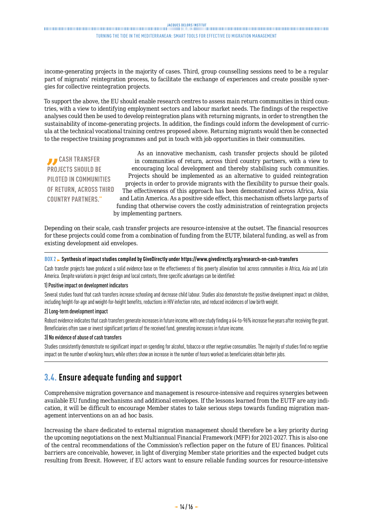<span id="page-13-0"></span>income-generating projects in the majority of cases. Third, group counselling sessions need to be a regular part of migrants' reintegration process, to facilitate the exchange of experiences and create possible synergies for collective reintegration projects.

To support the above, the EU should enable research centres to assess main return communities in third countries, with a view to identifying employment sectors and labour market needs. The findings of the respective analyses could then be used to develop reintegration plans with returning migrants, in order to strengthen the sustainability of income-generating projects. In addition, the findings could inform the development of curricula at the technical vocational training centres proposed above. Returning migrants would then be connected to the respective training programmes and put in touch with job opportunities in their communities.

*B* CASH TRANSFER **PROJECTS SHOULD BE PILOTED IN COMMUNITIES OF RETURN, ACROSS THIRD COUNTRY PARTNERS."**

As an innovative mechanism, cash transfer projects should be piloted in communities of return, across third country partners, with a view to encouraging local development and thereby stabilising such communities. Projects should be implemented as an alternative to guided reintegration projects in order to provide migrants with the flexibility to pursue their goals. The effectiveness of this approach has been demonstrated across Africa, Asia and Latin America. As a positive side effect, this mechanism offsets large parts of funding that otherwise covers the costly administration of reintegration projects by implementing partners.

Depending on their scale, cash transfer projects are resource-intensive at the outset. The financial resources for these projects could come from a combination of funding from the EUTF, bilateral funding, as well as from existing development aid envelopes.

#### **BOX 2 Synthesis of impact studies compiled by GiveDirectly under https://www.givedirectly.org/research-on-cash-transfers**

Cash transfer projects have produced a solid evidence base on the effectiveness of this poverty alleviation tool across communities in Africa, Asia and Latin America. Despite variations in project design and local contexts, three specific advantages can be identified:

#### 1) Positive impact on development indicators

Several studies found that cash transfers increase schooling and decrease child labour. Studies also demonstrate the positive development impact on children, including height-for-age and weight-for-height benefits, reductions in HIV infection rates, and reduced incidences of low birth weight.

#### 2) Long-term development impact

Robust evidence indicates that cash transfers generate increases in future income, with one study finding a 64-to-96% increase five years after receiving the grant. Beneficiaries often save or invest significant portions of the received fund, generating increases in future income.

#### 3) No evidence of abuse of cash transfers

Studies consistently demonstrate no significant impact on spending for alcohol, tobacco or other negative consumables. The majority of studies find no negative impact on the number of working hours, while others show an increase in the number of hours worked as beneficiaries obtain better jobs.

# **3.4. Ensure adequate funding and support**

Comprehensive migration governance and management is resource-intensive and requires synergies between available EU funding mechanisms and additional envelopes. If the lessons learned from the EUTF are any indication, it will be difficult to encourage Member states to take serious steps towards funding migration management interventions on an ad hoc basis.

Increasing the share dedicated to external migration management should therefore be a key priority during the upcoming negotiations on the next Multiannual Financial Framework (MFF) for 2021-2027. This is also one of the central recommendations of the Commission's reflection paper on the future of EU finances. Political barriers are conceivable, however, in light of diverging Member state priorities and the expected budget cuts resulting from Brexit. However, if EU actors want to ensure reliable funding sources for resource-intensive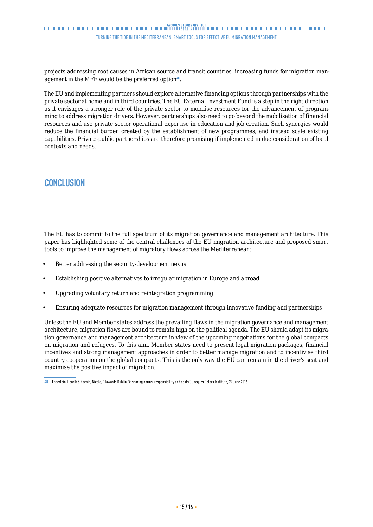Turning the tide in the Mediterranean: smart tools for effective EU migration management

projects addressing root causes in African source and transit countries, increasing funds for migration management in the MFF would be the preferred option $48$ .

The EU and implementing partners should explore alternative financing options through partnerships with the private sector at home and in third countries. The EU External Investment Fund is a step in the right direction as it envisages a stronger role of the private sector to mobilise resources for the advancement of programming to address migration drivers. However, partnerships also need to go beyond the mobilisation of financial resources and use private sector operational expertise in education and job creation. Such synergies would reduce the financial burden created by the establishment of new programmes, and instead scale existing capabilities. Private-public partnerships are therefore promising if implemented in due consideration of local contexts and needs.

## **CONCLUSION**

The EU has to commit to the full spectrum of its migration governance and management architecture. This paper has highlighted some of the central challenges of the EU migration architecture and proposed smart tools to improve the management of migratory flows across the Mediterranean:

- Better addressing the security-development nexus
- Establishing positive alternatives to irregular migration in Europe and abroad
- Upgrading voluntary return and reintegration programming
- Ensuring adequate resources for migration management through innovative funding and partnerships

Unless the EU and Member states address the prevailing flaws in the migration governance and management architecture, migration flows are bound to remain high on the political agenda. The EU should adapt its migration governance and management architecture in view of the upcoming negotiations for the global compacts on migration and refugees. To this aim, Member states need to present legal migration packages, financial incentives and strong management approaches in order to better manage migration and to incentivise third country cooperation on the global compacts. This is the only way the EU can remain in the driver's seat and maximise the positive impact of migration.

**<sup>48.</sup>** Enderlein, Henrik & Koenig, Nicole, "Towards Dublin IV: sharing norms, responsibility and costs", Jacques Delors Institute, 29 June 2016